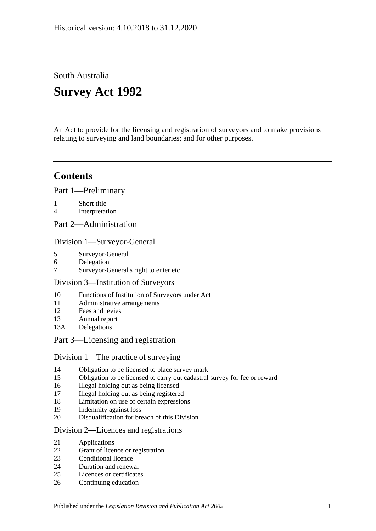South Australia

# **Survey Act 1992**

An Act to provide for the licensing and registration of surveyors and to make provisions relating to surveying and land boundaries; and for other purposes.

## **Contents**

[Part 1—Preliminary](#page-2-0)

- 1 [Short title](#page-2-1)
- 4 [Interpretation](#page-2-2)
- [Part 2—Administration](#page-4-0)

#### [Division 1—Surveyor-General](#page-4-1)

- 5 [Surveyor-General](#page-4-2)
- 6 [Delegation](#page-5-0)
- 7 [Surveyor-General's right to enter etc](#page-5-1)

## [Division 3—Institution of Surveyors](#page-5-2)

- 10 [Functions of Institution of Surveyors under Act](#page-5-3)
- 11 [Administrative arrangements](#page-6-0)
- 12 [Fees and levies](#page-6-1)
- 13 [Annual report](#page-6-2)
- 13A [Delegations](#page-7-0)

## [Part 3—Licensing and registration](#page-7-1)

## [Division 1—The practice of surveying](#page-7-2)

- 14 [Obligation to be licensed to place survey mark](#page-7-3)
- 15 [Obligation to be licensed to carry out cadastral survey for fee or reward](#page-7-4)
- 16 [Illegal holding out as being licensed](#page-7-5)
- 17 [Illegal holding out as being registered](#page-8-0)
- 18 [Limitation on use of certain expressions](#page-8-1)
- 19 [Indemnity against loss](#page-8-2)
- 20 [Disqualification for breach of this Division](#page-9-0)

## [Division 2—Licences and registrations](#page-9-1)

- 21 [Applications](#page-9-2)
- 22 [Grant of licence or registration](#page-9-3)
- 23 [Conditional licence](#page-10-0)
- 24 [Duration and renewal](#page-10-1)
- 25 [Licences or certificates](#page-10-2)
- 26 [Continuing education](#page-10-3)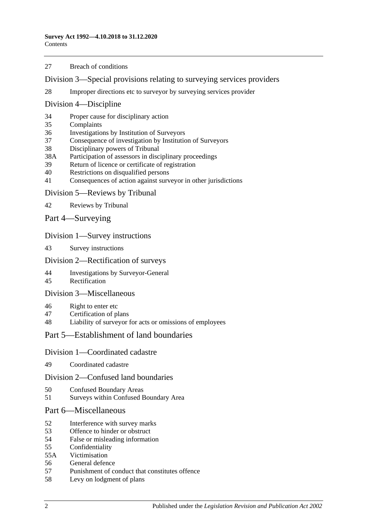#### [Breach of conditions](#page-11-0)

[Division 3—Special provisions relating to surveying services providers](#page-11-1)

[Improper directions etc to surveyor by surveying services provider](#page-11-2)

#### [Division 4—Discipline](#page-11-3)

- [Proper cause for disciplinary action](#page-11-4)
- [Complaints](#page-12-0)
- [Investigations by Institution of Surveyors](#page-12-1)
- [Consequence of investigation by Institution of Surveyors](#page-13-0)
- [Disciplinary powers of Tribunal](#page-13-1)
- 38A [Participation of assessors in disciplinary proceedings](#page-14-0)
- [Return of licence or certificate of registration](#page-15-0)
- [Restrictions on disqualified persons](#page-15-1)
- [Consequences of action against surveyor in other jurisdictions](#page-15-2)

#### [Division 5—Reviews by Tribunal](#page-16-0)

[Reviews by Tribunal](#page-16-1)

#### [Part 4—Surveying](#page-16-2)

#### [Division 1—Survey instructions](#page-16-3)

[Survey instructions](#page-16-4)

#### [Division 2—Rectification of surveys](#page-17-0)

- [Investigations by Surveyor-General](#page-17-1)<br>45 Rectification
- [Rectification](#page-18-0)

#### [Division 3—Miscellaneous](#page-19-0)

- [Right to enter etc](#page-19-1)
- [Certification of plans](#page-19-2)
- [Liability of surveyor for acts or omissions of employees](#page-19-3)

## [Part 5—Establishment of land boundaries](#page-19-4)

#### [Division 1—Coordinated cadastre](#page-19-5)

[Coordinated cadastre](#page-19-6)

#### [Division 2—Confused land boundaries](#page-20-0)

- [Confused Boundary Areas](#page-20-1)
- Surveys [within Confused Boundary Area](#page-20-2)

#### [Part 6—Miscellaneous](#page-22-0)

- [Interference with survey marks](#page-22-1)
- [Offence to hinder or obstruct](#page-23-0)
- [False or misleading information](#page-23-1)
- [Confidentiality](#page-23-2)
- 55A [Victimisation](#page-23-3)<br>56 General defen
- [General defence](#page-24-0)
- [Punishment of conduct that constitutes offence](#page-24-1)
- [Levy on lodgment of plans](#page-24-2)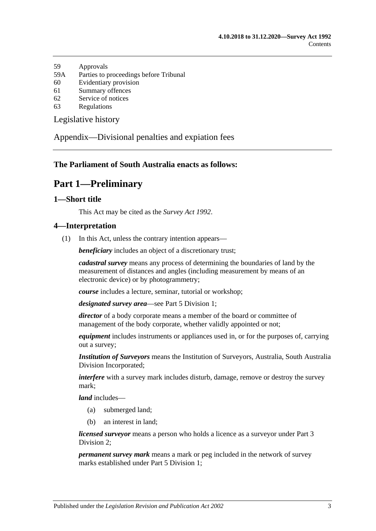- 59 [Approvals](#page-24-3)
- 59A [Parties to proceedings before Tribunal](#page-24-4)
- 60 [Evidentiary provision](#page-25-0)
- 61 [Summary offences](#page-25-1)
- 62 [Service of notices](#page-25-2)
- 63 [Regulations](#page-25-3)

[Legislative history](#page-27-0)

[Appendix—Divisional penalties and expiation fees](#page-33-0)

## <span id="page-2-0"></span>**The Parliament of South Australia enacts as follows:**

## **Part 1—Preliminary**

#### <span id="page-2-1"></span>**1—Short title**

This Act may be cited as the *Survey Act 1992*.

#### <span id="page-2-2"></span>**4—Interpretation**

(1) In this Act, unless the contrary intention appears—

*beneficiary* includes an object of a discretionary trust;

*cadastral survey* means any process of determining the boundaries of land by the measurement of distances and angles (including measurement by means of an electronic device) or by photogrammetry;

*course* includes a lecture, seminar, tutorial or workshop;

*designated survey area*—see [Part 5 Division 1;](#page-19-5)

*director* of a body corporate means a member of the board or committee of management of the body corporate, whether validly appointed or not;

*equipment* includes instruments or appliances used in, or for the purposes of, carrying out a survey;

*Institution of Surveyors* means the Institution of Surveyors, Australia, South Australia Division Incorporated;

*interfere* with a survey mark includes disturb, damage, remove or destroy the survey mark;

*land* includes—

- (a) submerged land;
- (b) an interest in land;

*licensed surveyor* means a person who holds a licence as a surveyor under [Part 3](#page-9-1)  [Division 2;](#page-9-1)

*permanent survey mark* means a mark or peg included in the network of survey marks established under [Part 5 Division 1;](#page-19-5)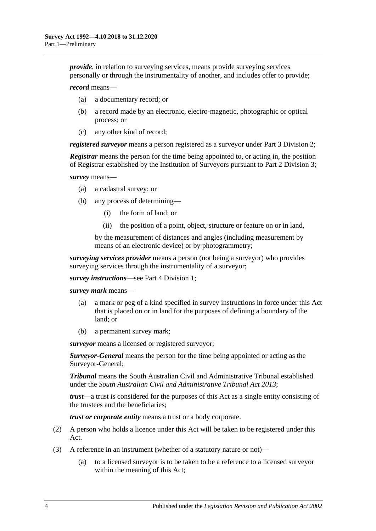*provide*, in relation to surveying services, means provide surveying services personally or through the instrumentality of another, and includes offer to provide;

#### *record* means—

- (a) a documentary record; or
- (b) a record made by an electronic, electro-magnetic, photographic or optical process; or
- (c) any other kind of record;

*registered surveyor* means a person registered as a surveyor under [Part 3 Division 2;](#page-9-1)

*Registrar* means the person for the time being appointed to, or acting in, the position of Registrar established by the Institution of Surveyors pursuant to [Part 2 Division 3;](#page-5-2)

*survey* means—

- (a) a cadastral survey; or
- (b) any process of determining—
	- (i) the form of land; or
	- (ii) the position of a point, object, structure or feature on or in land,

by the measurement of distances and angles (including measurement by means of an electronic device) or by photogrammetry;

*surveying services provider* means a person (not being a surveyor) who provides surveying services through the instrumentality of a surveyor;

*survey instructions*—see [Part 4 Division 1;](#page-16-3)

*survey mark* means—

- (a) a mark or peg of a kind specified in survey instructions in force under this Act that is placed on or in land for the purposes of defining a boundary of the land; or
- (b) a permanent survey mark;

*surveyor* means a licensed or registered surveyor;

*Surveyor-General* means the person for the time being appointed or acting as the Surveyor-General;

*Tribunal* means the South Australian Civil and Administrative Tribunal established under the *[South Australian Civil and Administrative Tribunal Act](http://www.legislation.sa.gov.au/index.aspx?action=legref&type=act&legtitle=South%20Australian%20Civil%20and%20Administrative%20Tribunal%20Act%202013) 2013*;

*trust*—a trust is considered for the purposes of this Act as a single entity consisting of the trustees and the beneficiaries;

*trust or corporate entity* means a trust or a body corporate.

- (2) A person who holds a licence under this Act will be taken to be registered under this Act.
- (3) A reference in an instrument (whether of a statutory nature or not)—
	- (a) to a licensed surveyor is to be taken to be a reference to a licensed surveyor within the meaning of this Act;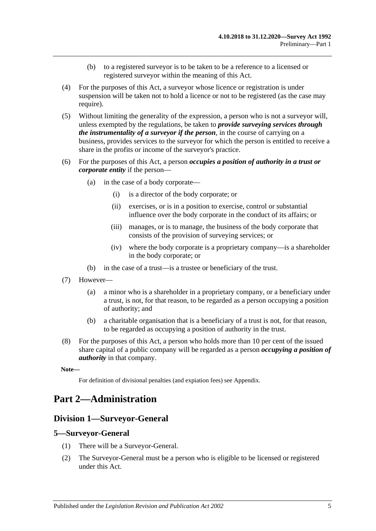- (b) to a registered surveyor is to be taken to be a reference to a licensed or registered surveyor within the meaning of this Act.
- (4) For the purposes of this Act, a surveyor whose licence or registration is under suspension will be taken not to hold a licence or not to be registered (as the case may require).
- (5) Without limiting the generality of the expression, a person who is not a surveyor will, unless exempted by the regulations, be taken to *provide surveying services through the instrumentality of a surveyor if the person*, in the course of carrying on a business, provides services to the surveyor for which the person is entitled to receive a share in the profits or income of the surveyor's practice.
- (6) For the purposes of this Act, a person *occupies a position of authority in a trust or corporate entity* if the person—
	- (a) in the case of a body corporate—
		- (i) is a director of the body corporate; or
		- (ii) exercises, or is in a position to exercise, control or substantial influence over the body corporate in the conduct of its affairs; or
		- (iii) manages, or is to manage, the business of the body corporate that consists of the provision of surveying services; or
		- (iv) where the body corporate is a proprietary company—is a shareholder in the body corporate; or
	- (b) in the case of a trust—is a trustee or beneficiary of the trust.
- (7) However—
	- (a) a minor who is a shareholder in a proprietary company, or a beneficiary under a trust, is not, for that reason, to be regarded as a person occupying a position of authority; and
	- (b) a charitable organisation that is a beneficiary of a trust is not, for that reason, to be regarded as occupying a position of authority in the trust.
- (8) For the purposes of this Act, a person who holds more than 10 per cent of the issued share capital of a public company will be regarded as a person *occupying a position of authority* in that company.

**Note—**

For definition of divisional penalties (and expiation fees) see Appendix.

## <span id="page-4-1"></span><span id="page-4-0"></span>**Part 2—Administration**

## **Division 1—Surveyor-General**

#### <span id="page-4-2"></span>**5—Surveyor-General**

- (1) There will be a Surveyor-General.
- (2) The Surveyor-General must be a person who is eligible to be licensed or registered under this Act.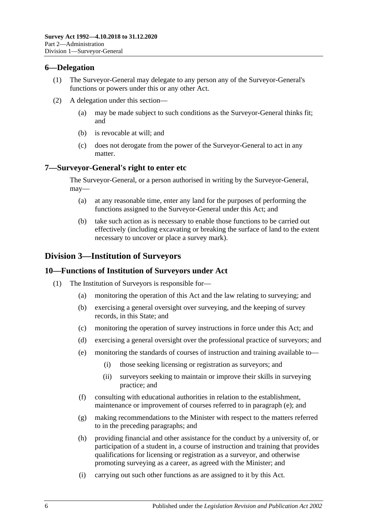#### <span id="page-5-0"></span>**6—Delegation**

- (1) The Surveyor-General may delegate to any person any of the Surveyor-General's functions or powers under this or any other Act.
- (2) A delegation under this section—
	- (a) may be made subject to such conditions as the Surveyor-General thinks fit; and
	- (b) is revocable at will; and
	- (c) does not derogate from the power of the Surveyor-General to act in any matter.

#### <span id="page-5-1"></span>**7—Surveyor-General's right to enter etc**

The Surveyor-General, or a person authorised in writing by the Surveyor-General, may—

- (a) at any reasonable time, enter any land for the purposes of performing the functions assigned to the Surveyor-General under this Act; and
- (b) take such action as is necessary to enable those functions to be carried out effectively (including excavating or breaking the surface of land to the extent necessary to uncover or place a survey mark).

## <span id="page-5-2"></span>**Division 3—Institution of Surveyors**

#### <span id="page-5-3"></span>**10—Functions of Institution of Surveyors under Act**

- <span id="page-5-4"></span>(1) The Institution of Surveyors is responsible for—
	- (a) monitoring the operation of this Act and the law relating to surveying; and
	- (b) exercising a general oversight over surveying, and the keeping of survey records, in this State; and
	- (c) monitoring the operation of survey instructions in force under this Act; and
	- (d) exercising a general oversight over the professional practice of surveyors; and
	- (e) monitoring the standards of courses of instruction and training available to—
		- (i) those seeking licensing or registration as surveyors; and
		- (ii) surveyors seeking to maintain or improve their skills in surveying practice; and
	- (f) consulting with educational authorities in relation to the establishment, maintenance or improvement of courses referred to in [paragraph](#page-5-4) (e); and
	- (g) making recommendations to the Minister with respect to the matters referred to in the preceding paragraphs; and
	- (h) providing financial and other assistance for the conduct by a university of, or participation of a student in, a course of instruction and training that provides qualifications for licensing or registration as a surveyor, and otherwise promoting surveying as a career, as agreed with the Minister; and
	- (i) carrying out such other functions as are assigned to it by this Act.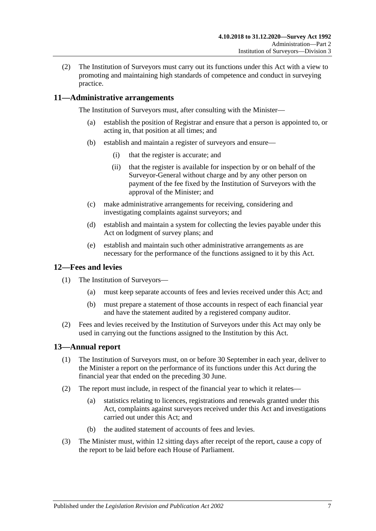(2) The Institution of Surveyors must carry out its functions under this Act with a view to promoting and maintaining high standards of competence and conduct in surveying practice.

## <span id="page-6-0"></span>**11—Administrative arrangements**

The Institution of Surveyors must, after consulting with the Minister—

- (a) establish the position of Registrar and ensure that a person is appointed to, or acting in, that position at all times; and
- (b) establish and maintain a register of surveyors and ensure—
	- (i) that the register is accurate; and
	- (ii) that the register is available for inspection by or on behalf of the Surveyor-General without charge and by any other person on payment of the fee fixed by the Institution of Surveyors with the approval of the Minister; and
- (c) make administrative arrangements for receiving, considering and investigating complaints against surveyors; and
- (d) establish and maintain a system for collecting the levies payable under this Act on lodgment of survey plans; and
- (e) establish and maintain such other administrative arrangements as are necessary for the performance of the functions assigned to it by this Act.

#### <span id="page-6-1"></span>**12—Fees and levies**

- (1) The Institution of Surveyors—
	- (a) must keep separate accounts of fees and levies received under this Act; and
	- (b) must prepare a statement of those accounts in respect of each financial year and have the statement audited by a registered company auditor.
- (2) Fees and levies received by the Institution of Surveyors under this Act may only be used in carrying out the functions assigned to the Institution by this Act.

#### <span id="page-6-2"></span>**13—Annual report**

- (1) The Institution of Surveyors must, on or before 30 September in each year, deliver to the Minister a report on the performance of its functions under this Act during the financial year that ended on the preceding 30 June.
- (2) The report must include, in respect of the financial year to which it relates—
	- (a) statistics relating to licences, registrations and renewals granted under this Act, complaints against surveyors received under this Act and investigations carried out under this Act; and
	- (b) the audited statement of accounts of fees and levies.
- (3) The Minister must, within 12 sitting days after receipt of the report, cause a copy of the report to be laid before each House of Parliament.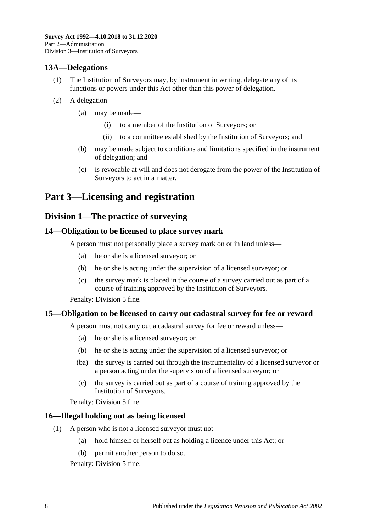## <span id="page-7-0"></span>**13A—Delegations**

- (1) The Institution of Surveyors may, by instrument in writing, delegate any of its functions or powers under this Act other than this power of delegation.
- (2) A delegation—
	- (a) may be made—
		- (i) to a member of the Institution of Surveyors; or
		- (ii) to a committee established by the Institution of Surveyors; and
	- (b) may be made subject to conditions and limitations specified in the instrument of delegation; and
	- (c) is revocable at will and does not derogate from the power of the Institution of Surveyors to act in a matter.

## <span id="page-7-1"></span>**Part 3—Licensing and registration**

## <span id="page-7-2"></span>**Division 1—The practice of surveying**

#### <span id="page-7-3"></span>**14—Obligation to be licensed to place survey mark**

A person must not personally place a survey mark on or in land unless—

- (a) he or she is a licensed surveyor; or
- (b) he or she is acting under the supervision of a licensed surveyor; or
- (c) the survey mark is placed in the course of a survey carried out as part of a course of training approved by the Institution of Surveyors.

Penalty: Division 5 fine.

## <span id="page-7-4"></span>**15—Obligation to be licensed to carry out cadastral survey for fee or reward**

A person must not carry out a cadastral survey for fee or reward unless—

- (a) he or she is a licensed surveyor; or
- (b) he or she is acting under the supervision of a licensed surveyor; or
- (ba) the survey is carried out through the instrumentality of a licensed surveyor or a person acting under the supervision of a licensed surveyor; or
- (c) the survey is carried out as part of a course of training approved by the Institution of Surveyors.

Penalty: Division 5 fine.

#### <span id="page-7-5"></span>**16—Illegal holding out as being licensed**

- (1) A person who is not a licensed surveyor must not—
	- (a) hold himself or herself out as holding a licence under this Act; or
	- (b) permit another person to do so.

Penalty: Division 5 fine.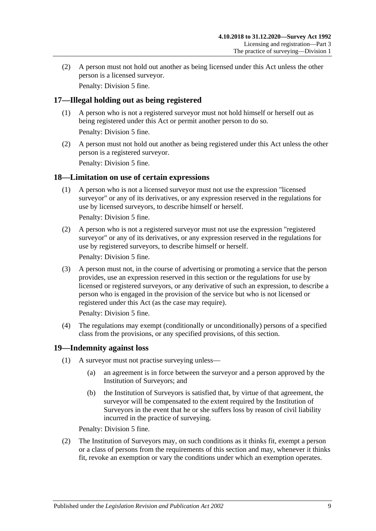(2) A person must not hold out another as being licensed under this Act unless the other person is a licensed surveyor.

Penalty: Division 5 fine.

## <span id="page-8-0"></span>**17—Illegal holding out as being registered**

- (1) A person who is not a registered surveyor must not hold himself or herself out as being registered under this Act or permit another person to do so. Penalty: Division 5 fine.
- (2) A person must not hold out another as being registered under this Act unless the other person is a registered surveyor.

Penalty: Division 5 fine.

## <span id="page-8-1"></span>**18—Limitation on use of certain expressions**

(1) A person who is not a licensed surveyor must not use the expression "licensed surveyor" or any of its derivatives, or any expression reserved in the regulations for use by licensed surveyors, to describe himself or herself.

Penalty: Division 5 fine.

(2) A person who is not a registered surveyor must not use the expression "registered surveyor" or any of its derivatives, or any expression reserved in the regulations for use by registered surveyors, to describe himself or herself.

Penalty: Division 5 fine.

(3) A person must not, in the course of advertising or promoting a service that the person provides, use an expression reserved in this section or the regulations for use by licensed or registered surveyors, or any derivative of such an expression, to describe a person who is engaged in the provision of the service but who is not licensed or registered under this Act (as the case may require).

Penalty: Division 5 fine.

(4) The regulations may exempt (conditionally or unconditionally) persons of a specified class from the provisions, or any specified provisions, of this section.

## <span id="page-8-2"></span>**19—Indemnity against loss**

- (1) A surveyor must not practise surveying unless—
	- (a) an agreement is in force between the surveyor and a person approved by the Institution of Surveyors; and
	- (b) the Institution of Surveyors is satisfied that, by virtue of that agreement, the surveyor will be compensated to the extent required by the Institution of Surveyors in the event that he or she suffers loss by reason of civil liability incurred in the practice of surveying.

Penalty: Division 5 fine.

(2) The Institution of Surveyors may, on such conditions as it thinks fit, exempt a person or a class of persons from the requirements of this section and may, whenever it thinks fit, revoke an exemption or vary the conditions under which an exemption operates.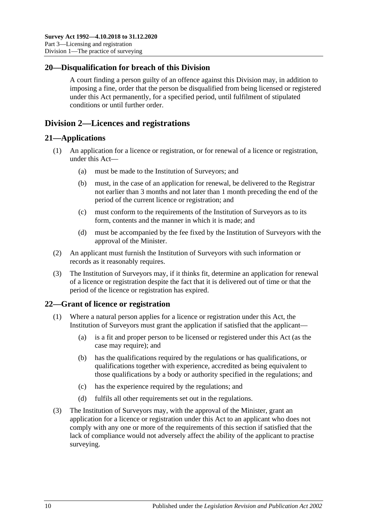## <span id="page-9-0"></span>**20—Disqualification for breach of this Division**

A court finding a person guilty of an offence against this Division may, in addition to imposing a fine, order that the person be disqualified from being licensed or registered under this Act permanently, for a specified period, until fulfilment of stipulated conditions or until further order.

## <span id="page-9-1"></span>**Division 2—Licences and registrations**

## <span id="page-9-2"></span>**21—Applications**

- (1) An application for a licence or registration, or for renewal of a licence or registration, under this Act—
	- (a) must be made to the Institution of Surveyors; and
	- (b) must, in the case of an application for renewal, be delivered to the Registrar not earlier than 3 months and not later than 1 month preceding the end of the period of the current licence or registration; and
	- (c) must conform to the requirements of the Institution of Surveyors as to its form, contents and the manner in which it is made; and
	- (d) must be accompanied by the fee fixed by the Institution of Surveyors with the approval of the Minister.
- (2) An applicant must furnish the Institution of Surveyors with such information or records as it reasonably requires.
- (3) The Institution of Surveyors may, if it thinks fit, determine an application for renewal of a licence or registration despite the fact that it is delivered out of time or that the period of the licence or registration has expired.

## <span id="page-9-3"></span>**22—Grant of licence or registration**

- (1) Where a natural person applies for a licence or registration under this Act, the Institution of Surveyors must grant the application if satisfied that the applicant—
	- (a) is a fit and proper person to be licensed or registered under this Act (as the case may require); and
	- (b) has the qualifications required by the regulations or has qualifications, or qualifications together with experience, accredited as being equivalent to those qualifications by a body or authority specified in the regulations; and
	- (c) has the experience required by the regulations; and
	- (d) fulfils all other requirements set out in the regulations.
- (3) The Institution of Surveyors may, with the approval of the Minister, grant an application for a licence or registration under this Act to an applicant who does not comply with any one or more of the requirements of this section if satisfied that the lack of compliance would not adversely affect the ability of the applicant to practise surveying.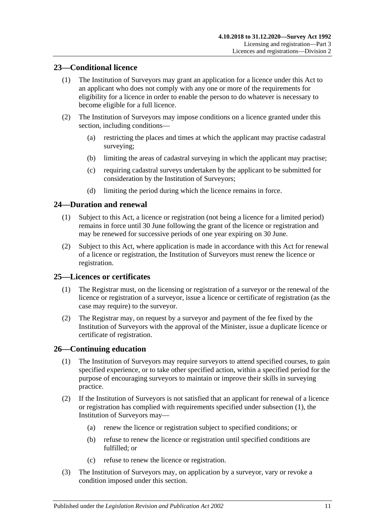## <span id="page-10-0"></span>**23—Conditional licence**

- (1) The Institution of Surveyors may grant an application for a licence under this Act to an applicant who does not comply with any one or more of the requirements for eligibility for a licence in order to enable the person to do whatever is necessary to become eligible for a full licence.
- (2) The Institution of Surveyors may impose conditions on a licence granted under this section, including conditions—
	- (a) restricting the places and times at which the applicant may practise cadastral surveying;
	- (b) limiting the areas of cadastral surveying in which the applicant may practise;
	- (c) requiring cadastral surveys undertaken by the applicant to be submitted for consideration by the Institution of Surveyors;
	- (d) limiting the period during which the licence remains in force.

## <span id="page-10-1"></span>**24—Duration and renewal**

- (1) Subject to this Act, a licence or registration (not being a licence for a limited period) remains in force until 30 June following the grant of the licence or registration and may be renewed for successive periods of one year expiring on 30 June.
- (2) Subject to this Act, where application is made in accordance with this Act for renewal of a licence or registration, the Institution of Surveyors must renew the licence or registration.

## <span id="page-10-2"></span>**25—Licences or certificates**

- (1) The Registrar must, on the licensing or registration of a surveyor or the renewal of the licence or registration of a surveyor, issue a licence or certificate of registration (as the case may require) to the surveyor.
- (2) The Registrar may, on request by a surveyor and payment of the fee fixed by the Institution of Surveyors with the approval of the Minister, issue a duplicate licence or certificate of registration.

## <span id="page-10-4"></span><span id="page-10-3"></span>**26—Continuing education**

- (1) The Institution of Surveyors may require surveyors to attend specified courses, to gain specified experience, or to take other specified action, within a specified period for the purpose of encouraging surveyors to maintain or improve their skills in surveying practice.
- (2) If the Institution of Surveyors is not satisfied that an applicant for renewal of a licence or registration has complied with requirements specified under [subsection](#page-10-4) (1), the Institution of Surveyors may—
	- (a) renew the licence or registration subject to specified conditions; or
	- (b) refuse to renew the licence or registration until specified conditions are fulfilled; or
	- (c) refuse to renew the licence or registration.
- (3) The Institution of Surveyors may, on application by a surveyor, vary or revoke a condition imposed under this section.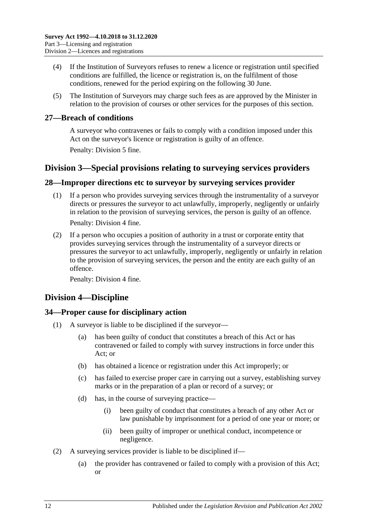- (4) If the Institution of Surveyors refuses to renew a licence or registration until specified conditions are fulfilled, the licence or registration is, on the fulfilment of those conditions, renewed for the period expiring on the following 30 June.
- (5) The Institution of Surveyors may charge such fees as are approved by the Minister in relation to the provision of courses or other services for the purposes of this section.

## <span id="page-11-0"></span>**27—Breach of conditions**

A surveyor who contravenes or fails to comply with a condition imposed under this Act on the surveyor's licence or registration is guilty of an offence. Penalty: Division 5 fine.

## <span id="page-11-1"></span>**Division 3—Special provisions relating to surveying services providers**

## <span id="page-11-2"></span>**28—Improper directions etc to surveyor by surveying services provider**

- (1) If a person who provides surveying services through the instrumentality of a surveyor directs or pressures the surveyor to act unlawfully, improperly, negligently or unfairly in relation to the provision of surveying services, the person is guilty of an offence. Penalty: Division 4 fine.
- (2) If a person who occupies a position of authority in a trust or corporate entity that provides surveying services through the instrumentality of a surveyor directs or pressures the surveyor to act unlawfully, improperly, negligently or unfairly in relation to the provision of surveying services, the person and the entity are each guilty of an offence.

Penalty: Division 4 fine.

## <span id="page-11-3"></span>**Division 4—Discipline**

## <span id="page-11-4"></span>**34—Proper cause for disciplinary action**

- (1) A surveyor is liable to be disciplined if the surveyor—
	- (a) has been guilty of conduct that constitutes a breach of this Act or has contravened or failed to comply with survey instructions in force under this Act; or
	- (b) has obtained a licence or registration under this Act improperly; or
	- (c) has failed to exercise proper care in carrying out a survey, establishing survey marks or in the preparation of a plan or record of a survey; or
	- (d) has, in the course of surveying practice—
		- (i) been guilty of conduct that constitutes a breach of any other Act or law punishable by imprisonment for a period of one year or more; or
		- (ii) been guilty of improper or unethical conduct, incompetence or negligence.
- (2) A surveying services provider is liable to be disciplined if—
	- (a) the provider has contravened or failed to comply with a provision of this Act; or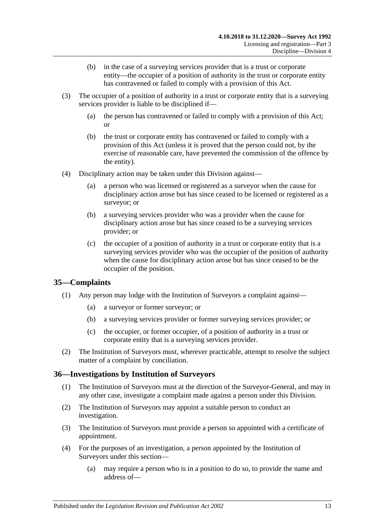- (b) in the case of a surveying services provider that is a trust or corporate entity—the occupier of a position of authority in the trust or corporate entity has contravened or failed to comply with a provision of this Act.
- (3) The occupier of a position of authority in a trust or corporate entity that is a surveying services provider is liable to be disciplined if—
	- (a) the person has contravened or failed to comply with a provision of this Act; or
	- (b) the trust or corporate entity has contravened or failed to comply with a provision of this Act (unless it is proved that the person could not, by the exercise of reasonable care, have prevented the commission of the offence by the entity).
- (4) Disciplinary action may be taken under this Division against—
	- (a) a person who was licensed or registered as a surveyor when the cause for disciplinary action arose but has since ceased to be licensed or registered as a surveyor; or
	- (b) a surveying services provider who was a provider when the cause for disciplinary action arose but has since ceased to be a surveying services provider; or
	- (c) the occupier of a position of authority in a trust or corporate entity that is a surveying services provider who was the occupier of the position of authority when the cause for disciplinary action arose but has since ceased to be the occupier of the position.

## <span id="page-12-0"></span>**35—Complaints**

- (1) Any person may lodge with the Institution of Surveyors a complaint against—
	- (a) a surveyor or former surveyor; or
	- (b) a surveying services provider or former surveying services provider; or
	- (c) the occupier, or former occupier, of a position of authority in a trust or corporate entity that is a surveying services provider.
- (2) The Institution of Surveyors must, wherever practicable, attempt to resolve the subject matter of a complaint by conciliation.

## <span id="page-12-1"></span>**36—Investigations by Institution of Surveyors**

- (1) The Institution of Surveyors must at the direction of the Surveyor-General, and may in any other case, investigate a complaint made against a person under this Division.
- (2) The Institution of Surveyors may appoint a suitable person to conduct an investigation.
- (3) The Institution of Surveyors must provide a person so appointed with a certificate of appointment.
- (4) For the purposes of an investigation, a person appointed by the Institution of Surveyors under this section—
	- (a) may require a person who is in a position to do so, to provide the name and address of—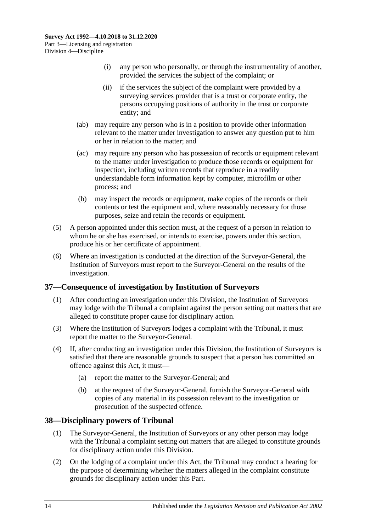- (i) any person who personally, or through the instrumentality of another, provided the services the subject of the complaint; or
- (ii) if the services the subject of the complaint were provided by a surveying services provider that is a trust or corporate entity, the persons occupying positions of authority in the trust or corporate entity; and
- (ab) may require any person who is in a position to provide other information relevant to the matter under investigation to answer any question put to him or her in relation to the matter; and
- (ac) may require any person who has possession of records or equipment relevant to the matter under investigation to produce those records or equipment for inspection, including written records that reproduce in a readily understandable form information kept by computer, microfilm or other process; and
- (b) may inspect the records or equipment, make copies of the records or their contents or test the equipment and, where reasonably necessary for those purposes, seize and retain the records or equipment.
- (5) A person appointed under this section must, at the request of a person in relation to whom he or she has exercised, or intends to exercise, powers under this section, produce his or her certificate of appointment.
- (6) Where an investigation is conducted at the direction of the Surveyor-General, the Institution of Surveyors must report to the Surveyor-General on the results of the investigation.

## <span id="page-13-0"></span>**37—Consequence of investigation by Institution of Surveyors**

- (1) After conducting an investigation under this Division, the Institution of Surveyors may lodge with the Tribunal a complaint against the person setting out matters that are alleged to constitute proper cause for disciplinary action.
- (3) Where the Institution of Surveyors lodges a complaint with the Tribunal, it must report the matter to the Surveyor-General.
- (4) If, after conducting an investigation under this Division, the Institution of Surveyors is satisfied that there are reasonable grounds to suspect that a person has committed an offence against this Act, it must—
	- (a) report the matter to the Surveyor-General; and
	- (b) at the request of the Surveyor-General, furnish the Surveyor-General with copies of any material in its possession relevant to the investigation or prosecution of the suspected offence.

## <span id="page-13-1"></span>**38—Disciplinary powers of Tribunal**

- (1) The Surveyor-General, the Institution of Surveyors or any other person may lodge with the Tribunal a complaint setting out matters that are alleged to constitute grounds for disciplinary action under this Division.
- (2) On the lodging of a complaint under this Act, the Tribunal may conduct a hearing for the purpose of determining whether the matters alleged in the complaint constitute grounds for disciplinary action under this Part.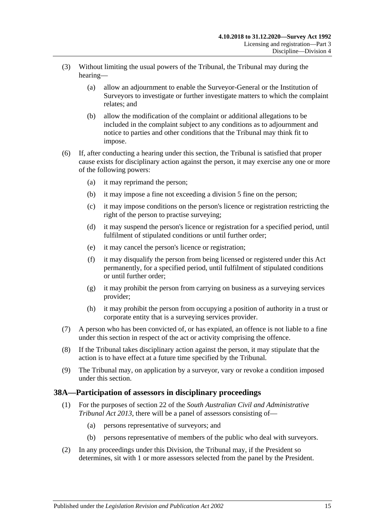- (3) Without limiting the usual powers of the Tribunal, the Tribunal may during the hearing—
	- (a) allow an adjournment to enable the Surveyor-General or the Institution of Surveyors to investigate or further investigate matters to which the complaint relates; and
	- (b) allow the modification of the complaint or additional allegations to be included in the complaint subject to any conditions as to adjournment and notice to parties and other conditions that the Tribunal may think fit to impose.
- (6) If, after conducting a hearing under this section, the Tribunal is satisfied that proper cause exists for disciplinary action against the person, it may exercise any one or more of the following powers:
	- (a) it may reprimand the person;
	- (b) it may impose a fine not exceeding a division 5 fine on the person;
	- (c) it may impose conditions on the person's licence or registration restricting the right of the person to practise surveying;
	- (d) it may suspend the person's licence or registration for a specified period, until fulfilment of stipulated conditions or until further order;
	- (e) it may cancel the person's licence or registration;
	- (f) it may disqualify the person from being licensed or registered under this Act permanently, for a specified period, until fulfilment of stipulated conditions or until further order;
	- (g) it may prohibit the person from carrying on business as a surveying services provider;
	- (h) it may prohibit the person from occupying a position of authority in a trust or corporate entity that is a surveying services provider.
- (7) A person who has been convicted of, or has expiated, an offence is not liable to a fine under this section in respect of the act or activity comprising the offence.
- (8) If the Tribunal takes disciplinary action against the person, it may stipulate that the action is to have effect at a future time specified by the Tribunal.
- (9) The Tribunal may, on application by a surveyor, vary or revoke a condition imposed under this section.

## <span id="page-14-0"></span>**38A—Participation of assessors in disciplinary proceedings**

- (1) For the purposes of section 22 of the *[South Australian Civil and Administrative](http://www.legislation.sa.gov.au/index.aspx?action=legref&type=act&legtitle=South%20Australian%20Civil%20and%20Administrative%20Tribunal%20Act%202013)  [Tribunal Act](http://www.legislation.sa.gov.au/index.aspx?action=legref&type=act&legtitle=South%20Australian%20Civil%20and%20Administrative%20Tribunal%20Act%202013) 2013*, there will be a panel of assessors consisting of—
	- (a) persons representative of surveyors; and
	- (b) persons representative of members of the public who deal with surveyors.
- (2) In any proceedings under this Division, the Tribunal may, if the President so determines, sit with 1 or more assessors selected from the panel by the President.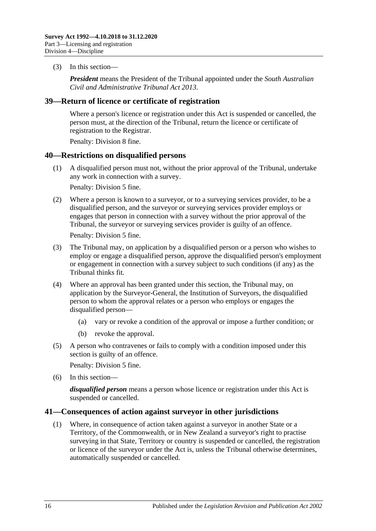#### (3) In this section—

*President* means the President of the Tribunal appointed under the *[South Australian](http://www.legislation.sa.gov.au/index.aspx?action=legref&type=act&legtitle=South%20Australian%20Civil%20and%20Administrative%20Tribunal%20Act%202013)  [Civil and Administrative Tribunal Act](http://www.legislation.sa.gov.au/index.aspx?action=legref&type=act&legtitle=South%20Australian%20Civil%20and%20Administrative%20Tribunal%20Act%202013) 2013*.

#### <span id="page-15-0"></span>**39—Return of licence or certificate of registration**

Where a person's licence or registration under this Act is suspended or cancelled, the person must, at the direction of the Tribunal, return the licence or certificate of registration to the Registrar.

Penalty: Division 8 fine.

#### <span id="page-15-1"></span>**40—Restrictions on disqualified persons**

(1) A disqualified person must not, without the prior approval of the Tribunal, undertake any work in connection with a survey.

Penalty: Division 5 fine.

(2) Where a person is known to a surveyor, or to a surveying services provider, to be a disqualified person, and the surveyor or surveying services provider employs or engages that person in connection with a survey without the prior approval of the Tribunal, the surveyor or surveying services provider is guilty of an offence.

Penalty: Division 5 fine.

- (3) The Tribunal may, on application by a disqualified person or a person who wishes to employ or engage a disqualified person, approve the disqualified person's employment or engagement in connection with a survey subject to such conditions (if any) as the Tribunal thinks fit.
- (4) Where an approval has been granted under this section, the Tribunal may, on application by the Surveyor-General, the Institution of Surveyors, the disqualified person to whom the approval relates or a person who employs or engages the disqualified person—
	- (a) vary or revoke a condition of the approval or impose a further condition; or
	- (b) revoke the approval.
- (5) A person who contravenes or fails to comply with a condition imposed under this section is guilty of an offence.

Penalty: Division 5 fine.

(6) In this section—

*disqualified person* means a person whose licence or registration under this Act is suspended or cancelled.

#### <span id="page-15-2"></span>**41—Consequences of action against surveyor in other jurisdictions**

(1) Where, in consequence of action taken against a surveyor in another State or a Territory, of the Commonwealth, or in New Zealand a surveyor's right to practise surveying in that State, Territory or country is suspended or cancelled, the registration or licence of the surveyor under the Act is, unless the Tribunal otherwise determines, automatically suspended or cancelled.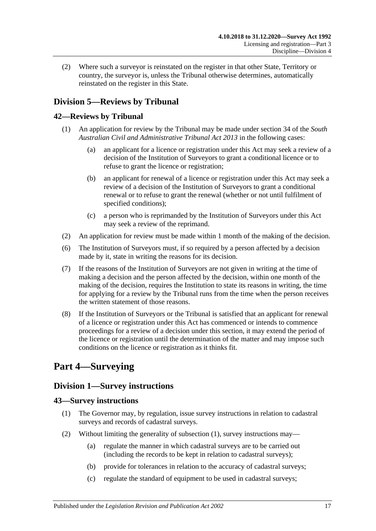(2) Where such a surveyor is reinstated on the register in that other State, Territory or country, the surveyor is, unless the Tribunal otherwise determines, automatically reinstated on the register in this State.

## <span id="page-16-0"></span>**Division 5—Reviews by Tribunal**

## <span id="page-16-1"></span>**42—Reviews by Tribunal**

- (1) An application for review by the Tribunal may be made under section 34 of the *[South](http://www.legislation.sa.gov.au/index.aspx?action=legref&type=act&legtitle=South%20Australian%20Civil%20and%20Administrative%20Tribunal%20Act%202013)  [Australian Civil and Administrative Tribunal Act](http://www.legislation.sa.gov.au/index.aspx?action=legref&type=act&legtitle=South%20Australian%20Civil%20and%20Administrative%20Tribunal%20Act%202013) 2013* in the following cases:
	- (a) an applicant for a licence or registration under this Act may seek a review of a decision of the Institution of Surveyors to grant a conditional licence or to refuse to grant the licence or registration;
	- (b) an applicant for renewal of a licence or registration under this Act may seek a review of a decision of the Institution of Surveyors to grant a conditional renewal or to refuse to grant the renewal (whether or not until fulfilment of specified conditions);
	- (c) a person who is reprimanded by the Institution of Surveyors under this Act may seek a review of the reprimand.
- (2) An application for review must be made within 1 month of the making of the decision.
- (6) The Institution of Surveyors must, if so required by a person affected by a decision made by it, state in writing the reasons for its decision.
- (7) If the reasons of the Institution of Surveyors are not given in writing at the time of making a decision and the person affected by the decision, within one month of the making of the decision, requires the Institution to state its reasons in writing, the time for applying for a review by the Tribunal runs from the time when the person receives the written statement of those reasons.
- (8) If the Institution of Surveyors or the Tribunal is satisfied that an applicant for renewal of a licence or registration under this Act has commenced or intends to commence proceedings for a review of a decision under this section, it may extend the period of the licence or registration until the determination of the matter and may impose such conditions on the licence or registration as it thinks fit.

# <span id="page-16-2"></span>**Part 4—Surveying**

## <span id="page-16-3"></span>**Division 1—Survey instructions**

## <span id="page-16-5"></span><span id="page-16-4"></span>**43—Survey instructions**

- (1) The Governor may, by regulation, issue survey instructions in relation to cadastral surveys and records of cadastral surveys.
- (2) Without limiting the generality of [subsection](#page-16-5) (1), survey instructions may—
	- (a) regulate the manner in which cadastral surveys are to be carried out (including the records to be kept in relation to cadastral surveys);
	- (b) provide for tolerances in relation to the accuracy of cadastral surveys;
	- (c) regulate the standard of equipment to be used in cadastral surveys;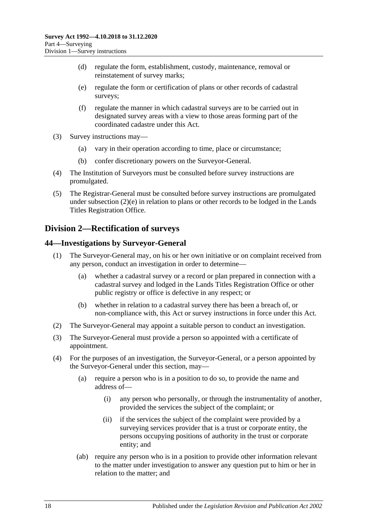- (d) regulate the form, establishment, custody, maintenance, removal or reinstatement of survey marks;
- <span id="page-17-2"></span>(e) regulate the form or certification of plans or other records of cadastral surveys;
- (f) regulate the manner in which cadastral surveys are to be carried out in designated survey areas with a view to those areas forming part of the coordinated cadastre under this Act.
- (3) Survey instructions may—
	- (a) vary in their operation according to time, place or circumstance;
	- (b) confer discretionary powers on the Surveyor-General.
- (4) The Institution of Surveyors must be consulted before survey instructions are promulgated.
- (5) The Registrar-General must be consulted before survey instructions are promulgated under [subsection](#page-17-2) (2)(e) in relation to plans or other records to be lodged in the Lands Titles Registration Office.

## <span id="page-17-0"></span>**Division 2—Rectification of surveys**

## <span id="page-17-1"></span>**44—Investigations by Surveyor-General**

- (1) The Surveyor-General may, on his or her own initiative or on complaint received from any person, conduct an investigation in order to determine—
	- (a) whether a cadastral survey or a record or plan prepared in connection with a cadastral survey and lodged in the Lands Titles Registration Office or other public registry or office is defective in any respect; or
	- (b) whether in relation to a cadastral survey there has been a breach of, or non-compliance with, this Act or survey instructions in force under this Act.
- (2) The Surveyor-General may appoint a suitable person to conduct an investigation.
- (3) The Surveyor-General must provide a person so appointed with a certificate of appointment.
- (4) For the purposes of an investigation, the Surveyor-General, or a person appointed by the Surveyor-General under this section, may—
	- (a) require a person who is in a position to do so, to provide the name and address of—
		- (i) any person who personally, or through the instrumentality of another, provided the services the subject of the complaint; or
		- (ii) if the services the subject of the complaint were provided by a surveying services provider that is a trust or corporate entity, the persons occupying positions of authority in the trust or corporate entity; and
	- (ab) require any person who is in a position to provide other information relevant to the matter under investigation to answer any question put to him or her in relation to the matter; and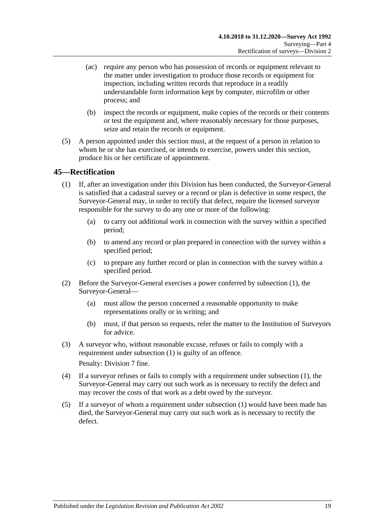- (ac) require any person who has possession of records or equipment relevant to the matter under investigation to produce those records or equipment for inspection, including written records that reproduce in a readily understandable form information kept by computer, microfilm or other process; and
- (b) inspect the records or equipment, make copies of the records or their contents or test the equipment and, where reasonably necessary for those purposes, seize and retain the records or equipment.
- (5) A person appointed under this section must, at the request of a person in relation to whom he or she has exercised, or intends to exercise, powers under this section, produce his or her certificate of appointment.

## <span id="page-18-1"></span><span id="page-18-0"></span>**45—Rectification**

- (1) If, after an investigation under this Division has been conducted, the Surveyor-General is satisfied that a cadastral survey or a record or plan is defective in some respect, the Surveyor-General may, in order to rectify that defect, require the licensed surveyor responsible for the survey to do any one or more of the following:
	- (a) to carry out additional work in connection with the survey within a specified period;
	- (b) to amend any record or plan prepared in connection with the survey within a specified period;
	- (c) to prepare any further record or plan in connection with the survey within a specified period.
- (2) Before the Surveyor-General exercises a power conferred by [subsection](#page-18-1) (1), the Surveyor-General—
	- (a) must allow the person concerned a reasonable opportunity to make representations orally or in writing; and
	- (b) must, if that person so requests, refer the matter to the Institution of Surveyors for advice.
- (3) A surveyor who, without reasonable excuse, refuses or fails to comply with a requirement under [subsection](#page-18-1) (1) is guilty of an offence. Penalty: Division 7 fine.
- (4) If a surveyor refuses or fails to comply with a requirement under [subsection](#page-18-1) (1), the Surveyor-General may carry out such work as is necessary to rectify the defect and may recover the costs of that work as a debt owed by the surveyor.
- (5) If a surveyor of whom a requirement under [subsection](#page-18-1) (1) would have been made has died, the Surveyor-General may carry out such work as is necessary to rectify the defect.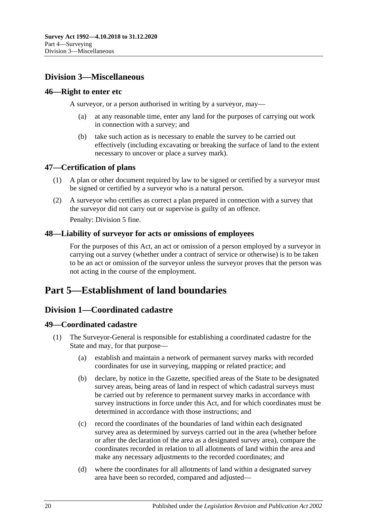## <span id="page-19-0"></span>**Division 3—Miscellaneous**

## <span id="page-19-1"></span>**46—Right to enter etc**

A surveyor, or a person authorised in writing by a surveyor, may—

- (a) at any reasonable time, enter any land for the purposes of carrying out work in connection with a survey; and
- (b) take such action as is necessary to enable the survey to be carried out effectively (including excavating or breaking the surface of land to the extent necessary to uncover or place a survey mark).

## <span id="page-19-2"></span>**47—Certification of plans**

- (1) A plan or other document required by law to be signed or certified by a surveyor must be signed or certified by a surveyor who is a natural person.
- (2) A surveyor who certifies as correct a plan prepared in connection with a survey that the surveyor did not carry out or supervise is guilty of an offence.

Penalty: Division 5 fine.

## <span id="page-19-3"></span>**48—Liability of surveyor for acts or omissions of employees**

For the purposes of this Act, an act or omission of a person employed by a surveyor in carrying out a survey (whether under a contract of service or otherwise) is to be taken to be an act or omission of the surveyor unless the surveyor proves that the person was not acting in the course of the employment.

## <span id="page-19-4"></span>**Part 5—Establishment of land boundaries**

## <span id="page-19-5"></span>**Division 1—Coordinated cadastre**

## <span id="page-19-8"></span><span id="page-19-6"></span>**49—Coordinated cadastre**

- <span id="page-19-7"></span>(1) The Surveyor-General is responsible for establishing a coordinated cadastre for the State and may, for that purpose—
	- (a) establish and maintain a network of permanent survey marks with recorded coordinates for use in surveying, mapping or related practice; and
	- (b) declare, by notice in the Gazette, specified areas of the State to be designated survey areas, being areas of land in respect of which cadastral surveys must be carried out by reference to permanent survey marks in accordance with survey instructions in force under this Act, and for which coordinates must be determined in accordance with those instructions; and
	- (c) record the coordinates of the boundaries of land within each designated survey area as determined by surveys carried out in the area (whether before or after the declaration of the area as a designated survey area), compare the coordinates recorded in relation to all allotments of land within the area and make any necessary adjustments to the recorded coordinates; and
	- (d) where the coordinates for all allotments of land within a designated survey area have been so recorded, compared and adjusted—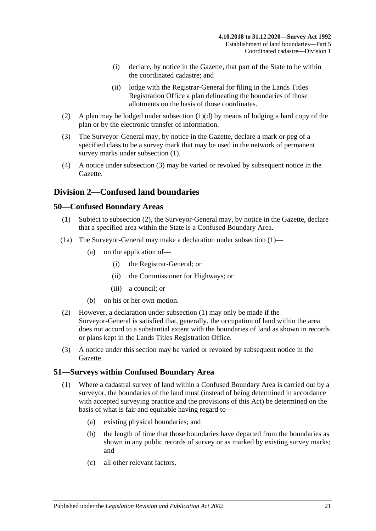- (i) declare, by notice in the Gazette, that part of the State to be within the coordinated cadastre; and
- (ii) lodge with the Registrar-General for filing in the Lands Titles Registration Office a plan delineating the boundaries of those allotments on the basis of those coordinates.
- (2) A plan may be lodged under [subsection](#page-19-7)  $(1)(d)$  by means of lodging a hard copy of the plan or by the electronic transfer of information.
- <span id="page-20-3"></span>(3) The Surveyor-General may, by notice in the Gazette, declare a mark or peg of a specified class to be a survey mark that may be used in the network of permanent survey marks under [subsection](#page-19-8) (1).
- (4) A notice under [subsection](#page-20-3) (3) may be varied or revoked by subsequent notice in the Gazette.

## <span id="page-20-0"></span>**Division 2—Confused land boundaries**

## <span id="page-20-5"></span><span id="page-20-1"></span>**50—Confused Boundary Areas**

- (1) Subject to [subsection](#page-20-4) (2), the Surveyor-General may, by notice in the Gazette, declare that a specified area within the State is a Confused Boundary Area.
- (1a) The Surveyor-General may make a declaration under [subsection](#page-20-5) (1)—
	- (a) on the application of—
		- (i) the Registrar-General; or
		- (ii) the Commissioner for Highways; or
		- (iii) a council; or
	- (b) on his or her own motion.
- <span id="page-20-4"></span>(2) However, a declaration under [subsection](#page-20-5) (1) may only be made if the Surveyor-General is satisfied that, generally, the occupation of land within the area does not accord to a substantial extent with the boundaries of land as shown in records or plans kept in the Lands Titles Registration Office.
- (3) A notice under this section may be varied or revoked by subsequent notice in the Gazette.

## <span id="page-20-2"></span>**51—Surveys within Confused Boundary Area**

- (1) Where a cadastral survey of land within a Confused Boundary Area is carried out by a surveyor, the boundaries of the land must (instead of being determined in accordance with accepted surveying practice and the provisions of this Act) be determined on the basis of what is fair and equitable having regard to—
	- (a) existing physical boundaries; and
	- (b) the length of time that those boundaries have departed from the boundaries as shown in any public records of survey or as marked by existing survey marks; and
	- (c) all other relevant factors.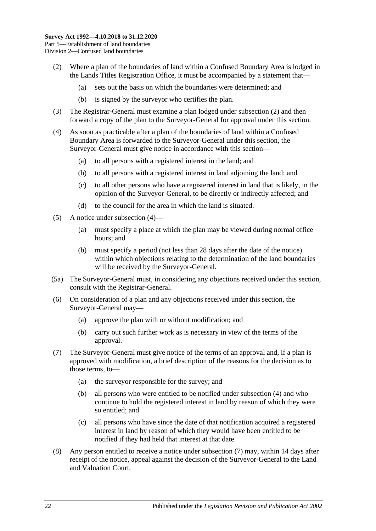- <span id="page-21-0"></span>(2) Where a plan of the boundaries of land within a Confused Boundary Area is lodged in the Lands Titles Registration Office, it must be accompanied by a statement that—
	- (a) sets out the basis on which the boundaries were determined; and
	- (b) is signed by the surveyor who certifies the plan.
- (3) The Registrar-General must examine a plan lodged under [subsection](#page-21-0) (2) and then forward a copy of the plan to the Surveyor-General for approval under this section.
- <span id="page-21-1"></span>(4) As soon as practicable after a plan of the boundaries of land within a Confused Boundary Area is forwarded to the Surveyor-General under this section, the Surveyor-General must give notice in accordance with this section—
	- (a) to all persons with a registered interest in the land; and
	- (b) to all persons with a registered interest in land adjoining the land; and
	- (c) to all other persons who have a registered interest in land that is likely, in the opinion of the Surveyor-General, to be directly or indirectly affected; and
	- (d) to the council for the area in which the land is situated.
- (5) A notice under [subsection](#page-21-1) (4)—
	- (a) must specify a place at which the plan may be viewed during normal office hours; and
	- (b) must specify a period (not less than 28 days after the date of the notice) within which objections relating to the determination of the land boundaries will be received by the Surveyor-General.
- (5a) The Surveyor-General must, in considering any objections received under this section, consult with the Registrar-General.
- (6) On consideration of a plan and any objections received under this section, the Surveyor-General may—
	- (a) approve the plan with or without modification; and
	- (b) carry out such further work as is necessary in view of the terms of the approval.
- <span id="page-21-2"></span>(7) The Surveyor-General must give notice of the terms of an approval and, if a plan is approved with modification, a brief description of the reasons for the decision as to those terms, to—
	- (a) the surveyor responsible for the survey; and
	- (b) all persons who were entitled to be notified under [subsection](#page-21-1) (4) and who continue to hold the registered interest in land by reason of which they were so entitled; and
	- (c) all persons who have since the date of that notification acquired a registered interest in land by reason of which they would have been entitled to be notified if they had held that interest at that date.
- (8) Any person entitled to receive a notice under [subsection](#page-21-2) (7) may, within 14 days after receipt of the notice, appeal against the decision of the Surveyor-General to the Land and Valuation Court.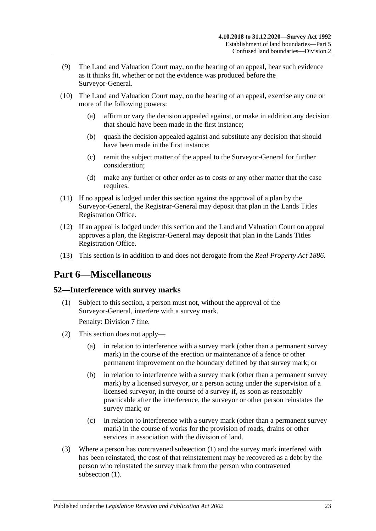- (9) The Land and Valuation Court may, on the hearing of an appeal, hear such evidence as it thinks fit, whether or not the evidence was produced before the Surveyor-General.
- (10) The Land and Valuation Court may, on the hearing of an appeal, exercise any one or more of the following powers:
	- (a) affirm or vary the decision appealed against, or make in addition any decision that should have been made in the first instance;
	- (b) quash the decision appealed against and substitute any decision that should have been made in the first instance;
	- (c) remit the subject matter of the appeal to the Surveyor-General for further consideration;
	- (d) make any further or other order as to costs or any other matter that the case requires.
- (11) If no appeal is lodged under this section against the approval of a plan by the Surveyor-General, the Registrar-General may deposit that plan in the Lands Titles Registration Office.
- (12) If an appeal is lodged under this section and the Land and Valuation Court on appeal approves a plan, the Registrar-General may deposit that plan in the Lands Titles Registration Office.
- (13) This section is in addition to and does not derogate from the *[Real Property Act](http://www.legislation.sa.gov.au/index.aspx?action=legref&type=act&legtitle=Real%20Property%20Act%201886) 1886*.

## <span id="page-22-0"></span>**Part 6—Miscellaneous**

## <span id="page-22-2"></span><span id="page-22-1"></span>**52—Interference with survey marks**

(1) Subject to this section, a person must not, without the approval of the Surveyor-General, interfere with a survey mark.

Penalty: Division 7 fine.

- (2) This section does not apply—
	- (a) in relation to interference with a survey mark (other than a permanent survey mark) in the course of the erection or maintenance of a fence or other permanent improvement on the boundary defined by that survey mark; or
	- (b) in relation to interference with a survey mark (other than a permanent survey mark) by a licensed surveyor, or a person acting under the supervision of a licensed surveyor, in the course of a survey if, as soon as reasonably practicable after the interference, the surveyor or other person reinstates the survey mark; or
	- (c) in relation to interference with a survey mark (other than a permanent survey mark) in the course of works for the provision of roads, drains or other services in association with the division of land.
- (3) Where a person has contravened [subsection](#page-22-2) (1) and the survey mark interfered with has been reinstated, the cost of that reinstatement may be recovered as a debt by the person who reinstated the survey mark from the person who contravened [subsection](#page-22-2)  $(1)$ .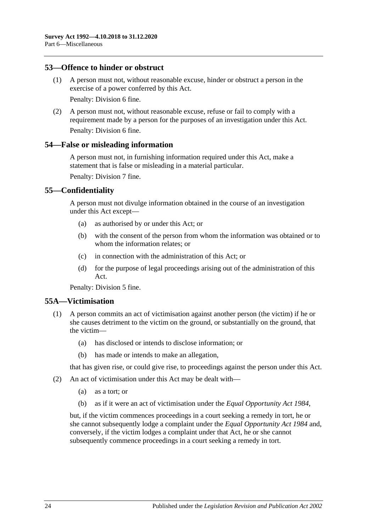#### <span id="page-23-0"></span>**53—Offence to hinder or obstruct**

(1) A person must not, without reasonable excuse, hinder or obstruct a person in the exercise of a power conferred by this Act.

Penalty: Division 6 fine.

(2) A person must not, without reasonable excuse, refuse or fail to comply with a requirement made by a person for the purposes of an investigation under this Act. Penalty: Division 6 fine.

#### <span id="page-23-1"></span>**54—False or misleading information**

A person must not, in furnishing information required under this Act, make a statement that is false or misleading in a material particular.

Penalty: Division 7 fine.

#### <span id="page-23-2"></span>**55—Confidentiality**

A person must not divulge information obtained in the course of an investigation under this Act except—

- (a) as authorised by or under this Act; or
- (b) with the consent of the person from whom the information was obtained or to whom the information relates; or
- (c) in connection with the administration of this Act; or
- (d) for the purpose of legal proceedings arising out of the administration of this Act.

Penalty: Division 5 fine.

## <span id="page-23-3"></span>**55A—Victimisation**

- (1) A person commits an act of victimisation against another person (the victim) if he or she causes detriment to the victim on the ground, or substantially on the ground, that the victim—
	- (a) has disclosed or intends to disclose information; or
	- (b) has made or intends to make an allegation,

that has given rise, or could give rise, to proceedings against the person under this Act.

- (2) An act of victimisation under this Act may be dealt with—
	- (a) as a tort; or
	- (b) as if it were an act of victimisation under the *[Equal Opportunity Act](http://www.legislation.sa.gov.au/index.aspx?action=legref&type=act&legtitle=Equal%20Opportunity%20Act%201984) 1984*,

but, if the victim commences proceedings in a court seeking a remedy in tort, he or she cannot subsequently lodge a complaint under the *[Equal Opportunity Act](http://www.legislation.sa.gov.au/index.aspx?action=legref&type=act&legtitle=Equal%20Opportunity%20Act%201984) 1984* and, conversely, if the victim lodges a complaint under that Act, he or she cannot subsequently commence proceedings in a court seeking a remedy in tort.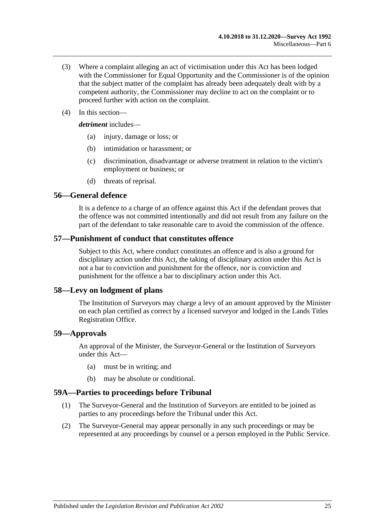- (3) Where a complaint alleging an act of victimisation under this Act has been lodged with the Commissioner for Equal Opportunity and the Commissioner is of the opinion that the subject matter of the complaint has already been adequately dealt with by a competent authority, the Commissioner may decline to act on the complaint or to proceed further with action on the complaint.
- (4) In this section—

*detriment* includes—

- (a) injury, damage or loss; or
- (b) intimidation or harassment; or
- (c) discrimination, disadvantage or adverse treatment in relation to the victim's employment or business; or
- (d) threats of reprisal.

#### <span id="page-24-0"></span>**56—General defence**

It is a defence to a charge of an offence against this Act if the defendant proves that the offence was not committed intentionally and did not result from any failure on the part of the defendant to take reasonable care to avoid the commission of the offence.

#### <span id="page-24-1"></span>**57—Punishment of conduct that constitutes offence**

Subject to this Act, where conduct constitutes an offence and is also a ground for disciplinary action under this Act, the taking of disciplinary action under this Act is not a bar to conviction and punishment for the offence, nor is conviction and punishment for the offence a bar to disciplinary action under this Act.

#### <span id="page-24-2"></span>**58—Levy on lodgment of plans**

The Institution of Surveyors may charge a levy of an amount approved by the Minister on each plan certified as correct by a licensed surveyor and lodged in the Lands Titles Registration Office.

#### <span id="page-24-3"></span>**59—Approvals**

An approval of the Minister, the Surveyor-General or the Institution of Surveyors under this Act—

- (a) must be in writing; and
- (b) may be absolute or conditional.

#### <span id="page-24-4"></span>**59A—Parties to proceedings before Tribunal**

- (1) The Surveyor-General and the Institution of Surveyors are entitled to be joined as parties to any proceedings before the Tribunal under this Act.
- (2) The Surveyor-General may appear personally in any such proceedings or may be represented at any proceedings by counsel or a person employed in the Public Service.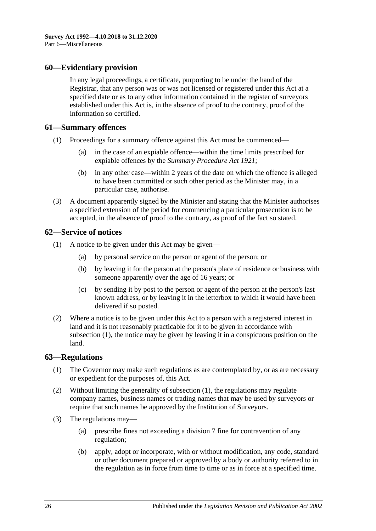#### <span id="page-25-0"></span>**60—Evidentiary provision**

In any legal proceedings, a certificate, purporting to be under the hand of the Registrar, that any person was or was not licensed or registered under this Act at a specified date or as to any other information contained in the register of surveyors established under this Act is, in the absence of proof to the contrary, proof of the information so certified.

#### <span id="page-25-1"></span>**61—Summary offences**

- (1) Proceedings for a summary offence against this Act must be commenced—
	- (a) in the case of an expiable offence—within the time limits prescribed for expiable offences by the *[Summary Procedure Act](http://www.legislation.sa.gov.au/index.aspx?action=legref&type=act&legtitle=Summary%20Procedure%20Act%201921) 1921*;
	- (b) in any other case—within 2 years of the date on which the offence is alleged to have been committed or such other period as the Minister may, in a particular case, authorise.
- (3) A document apparently signed by the Minister and stating that the Minister authorises a specified extension of the period for commencing a particular prosecution is to be accepted, in the absence of proof to the contrary, as proof of the fact so stated.

#### <span id="page-25-4"></span><span id="page-25-2"></span>**62—Service of notices**

- (1) A notice to be given under this Act may be given—
	- (a) by personal service on the person or agent of the person; or
	- (b) by leaving it for the person at the person's place of residence or business with someone apparently over the age of 16 years; or
	- (c) by sending it by post to the person or agent of the person at the person's last known address, or by leaving it in the letterbox to which it would have been delivered if so posted.
- (2) Where a notice is to be given under this Act to a person with a registered interest in land and it is not reasonably practicable for it to be given in accordance with [subsection](#page-25-4) (1), the notice may be given by leaving it in a conspicuous position on the land.

#### <span id="page-25-5"></span><span id="page-25-3"></span>**63—Regulations**

- (1) The Governor may make such regulations as are contemplated by, or as are necessary or expedient for the purposes of, this Act.
- (2) Without limiting the generality of [subsection](#page-25-5) (1), the regulations may regulate company names, business names or trading names that may be used by surveyors or require that such names be approved by the Institution of Surveyors.
- (3) The regulations may—
	- (a) prescribe fines not exceeding a division 7 fine for contravention of any regulation;
	- (b) apply, adopt or incorporate, with or without modification, any code, standard or other document prepared or approved by a body or authority referred to in the regulation as in force from time to time or as in force at a specified time.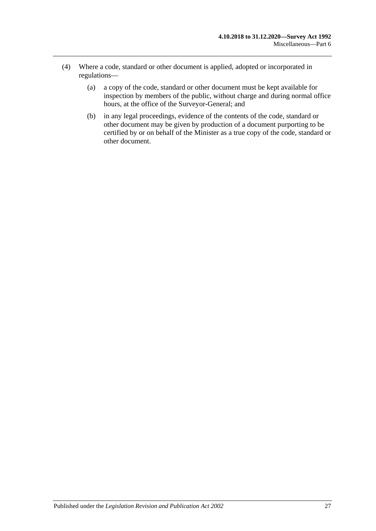- (4) Where a code, standard or other document is applied, adopted or incorporated in regulations—
	- (a) a copy of the code, standard or other document must be kept available for inspection by members of the public, without charge and during normal office hours, at the office of the Surveyor-General; and
	- (b) in any legal proceedings, evidence of the contents of the code, standard or other document may be given by production of a document purporting to be certified by or on behalf of the Minister as a true copy of the code, standard or other document.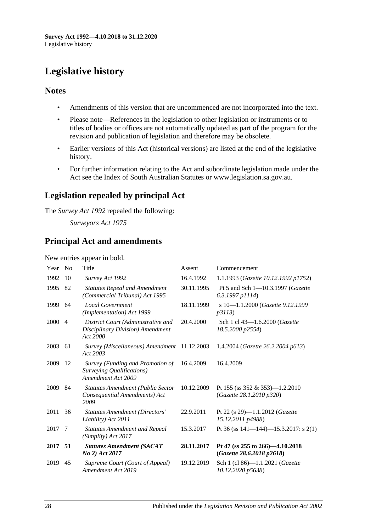# <span id="page-27-0"></span>**Legislative history**

## **Notes**

- Amendments of this version that are uncommenced are not incorporated into the text.
- Please note—References in the legislation to other legislation or instruments or to titles of bodies or offices are not automatically updated as part of the program for the revision and publication of legislation and therefore may be obsolete.
- Earlier versions of this Act (historical versions) are listed at the end of the legislative history.
- For further information relating to the Act and subordinate legislation made under the Act see the Index of South Australian Statutes or www.legislation.sa.gov.au.

## **Legislation repealed by principal Act**

The *Survey Act 1992* repealed the following:

*Surveyors Act 1975*

## **Principal Act and amendments**

New entries appear in bold.

| Year    | N <sub>0</sub> | Title                                                                               | Assent     | Commencement                                                      |
|---------|----------------|-------------------------------------------------------------------------------------|------------|-------------------------------------------------------------------|
| 1992    | 10             | Survey Act 1992                                                                     | 16.4.1992  | 1.1.1993 (Gazette 10.12.1992 p1752)                               |
| 1995    | 82             | <b>Statutes Repeal and Amendment</b><br>(Commercial Tribunal) Act 1995              | 30.11.1995 | Pt 5 and Sch 1-10.3.1997 (Gazette<br>$6.3.1997$ p $1114$ )        |
| 1999    | 64             | <b>Local Government</b><br>(Implementation) Act 1999                                | 18.11.1999 | s 10-1.1.2000 (Gazette 9.12.1999)<br>p3113                        |
| 2000    | $\overline{4}$ | District Court (Administrative and<br>Disciplinary Division) Amendment<br>Act 2000  | 20.4.2000  | Sch 1 cl 43-1.6.2000 (Gazette<br>18.5.2000 p2554)                 |
| 2003    | 61             | Survey (Miscellaneous) Amendment<br>Act 2003                                        | 11.12.2003 | 1.4.2004 (Gazette 26.2.2004 p613)                                 |
| 2009    | 12             | Survey (Funding and Promotion of<br>Surveying Qualifications)<br>Amendment Act 2009 | 16.4.2009  | 16.4.2009                                                         |
| 2009    | 84             | <b>Statutes Amendment (Public Sector</b><br>Consequential Amendments) Act<br>2009   | 10.12.2009 | Pt 155 (ss $352 \& 353$ )-1.2.2010<br>(Gazette 28.1.2010 p320)    |
| 2011    | 36             | <b>Statutes Amendment (Directors'</b><br>Liability) Act 2011                        | 22.9.2011  | Pt 22 (s 29)-1.1.2012 (Gazette<br>15.12.2011 p4988)               |
| 2017    | -7             | <b>Statutes Amendment and Repeal</b><br>(Simplify) Act 2017                         | 15.3.2017  | Pt 36 (ss $141 - 144$ ) -15.3.2017: s $2(1)$                      |
| 2017 51 |                | <b>Statutes Amendment (SACAT</b><br>No 2) Act 2017                                  | 28.11.2017 | Pt 47 (ss $255$ to $266$ )-4.10.2018<br>(Gazette 28.6.2018 p2618) |
| 2019 45 |                | Supreme Court (Court of Appeal)<br>Amendment Act 2019                               | 19.12.2019 | Sch 1 (cl 86)-1.1.2021 (Gazette<br>10.12.2020 p5638)              |
|         |                |                                                                                     |            |                                                                   |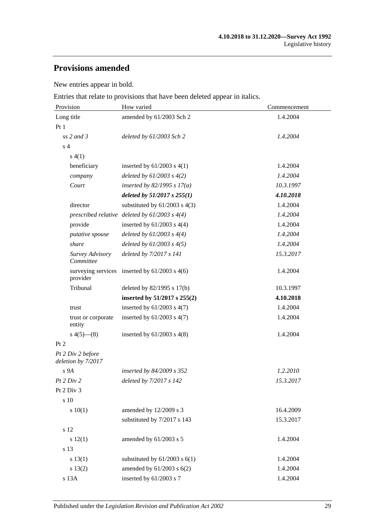## **Provisions amended**

New entries appear in bold.

Entries that relate to provisions that have been deleted appear in italics.

| Provision                               | How varied                                        | Commencement |  |
|-----------------------------------------|---------------------------------------------------|--------------|--|
| Long title                              | amended by 61/2003 Sch 2                          | 1.4.2004     |  |
| Pt1                                     |                                                   |              |  |
| $ss$ 2 and 3                            | deleted by 61/2003 Sch 2                          | 1.4.2004     |  |
| s <sub>4</sub>                          |                                                   |              |  |
| s(4(1))                                 |                                                   |              |  |
| beneficiary                             | inserted by $61/2003$ s $4(1)$                    | 1.4.2004     |  |
| company                                 | deleted by $61/2003$ s $4(2)$                     | 1.4.2004     |  |
| Court                                   | inserted by $82/1995 s 17(a)$                     | 10.3.1997    |  |
|                                         | deleted by 51/2017 s 255(1)                       | 4.10.2018    |  |
| director                                | substituted by $61/2003$ s $4(3)$                 | 1.4.2004     |  |
|                                         | prescribed relative deleted by $61/2003$ s $4(4)$ | 1.4.2004     |  |
| provide                                 | inserted by $61/2003$ s $4(4)$                    | 1.4.2004     |  |
| putative spouse                         | deleted by $61/2003$ s $4(4)$                     | 1.4.2004     |  |
| share                                   | deleted by $61/2003$ s $4(5)$                     | 1.4.2004     |  |
| Survey Advisory<br>Committee            | deleted by 7/2017 s 141                           | 15.3.2017    |  |
| provider                                | surveying services inserted by $61/2003$ s $4(6)$ | 1.4.2004     |  |
| Tribunal                                | deleted by $82/1995$ s $17(b)$                    | 10.3.1997    |  |
|                                         | inserted by 51/2017 s 255(2)                      | 4.10.2018    |  |
| trust                                   | inserted by $61/2003$ s $4(7)$                    | 1.4.2004     |  |
| trust or corporate<br>entity            | inserted by $61/2003$ s $4(7)$                    | 1.4.2004     |  |
| $s\ 4(5)$ (8)                           | inserted by $61/2003$ s $4(8)$                    | 1.4.2004     |  |
| Pt 2                                    |                                                   |              |  |
| Pt 2 Div 2 before<br>deletion by 7/2017 |                                                   |              |  |
| s 9A                                    | inserted by 84/2009 s 352                         | 1.2.2010     |  |
| Pt 2 Div 2                              | deleted by 7/2017 s 142                           | 15.3.2017    |  |
| Pt 2 Div 3                              |                                                   |              |  |
| s 10                                    |                                                   |              |  |
| 10(1)                                   | amended by 12/2009 s 3                            | 16.4.2009    |  |
|                                         | substituted by 7/2017 s 143                       | 15.3.2017    |  |
| s 12                                    |                                                   |              |  |
| s 12(1)                                 | amended by 61/2003 s 5                            | 1.4.2004     |  |
| s 13                                    |                                                   |              |  |
| s 13(1)                                 | substituted by $61/2003$ s $6(1)$                 | 1.4.2004     |  |
| s 13(2)                                 | amended by $61/2003$ s $6(2)$                     | 1.4.2004     |  |
| s 13A                                   | inserted by 61/2003 s 7                           | 1.4.2004     |  |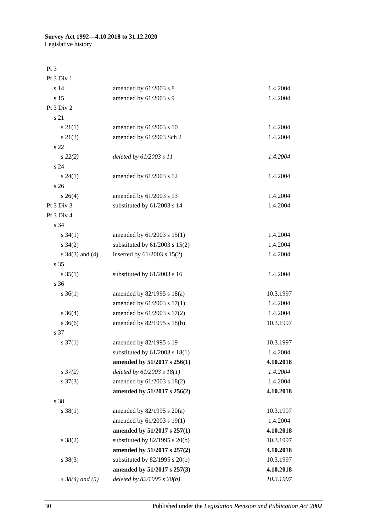## **Survey Act 1992—4.10.2018 to 31.12.2020**

Legislative history

| Pt <sub>3</sub>      |                                    |           |
|----------------------|------------------------------------|-----------|
| Pt 3 Div 1           |                                    |           |
| s 14                 | amended by 61/2003 s 8             | 1.4.2004  |
| s <sub>15</sub>      | amended by 61/2003 s 9             | 1.4.2004  |
| Pt 3 Div 2           |                                    |           |
| s 21                 |                                    |           |
| $s \, 21(1)$         | amended by 61/2003 s 10            | 1.4.2004  |
| $s\ 21(3)$           | amended by 61/2003 Sch 2           | 1.4.2004  |
| s <sub>22</sub>      |                                    |           |
| $s\,22(2)$           | deleted by 61/2003 s 11            | 1.4.2004  |
| s <sub>24</sub>      |                                    |           |
| $s\,24(1)$           | amended by 61/2003 s 12            | 1.4.2004  |
| s 26                 |                                    |           |
| $s \; 26(4)$         | amended by 61/2003 s 13            | 1.4.2004  |
| Pt 3 Div 3           | substituted by 61/2003 s 14        | 1.4.2004  |
| Pt 3 Div 4           |                                    |           |
| s 34                 |                                    |           |
| $s \, 34(1)$         | amended by $61/2003$ s $15(1)$     | 1.4.2004  |
| $s \; 34(2)$         | substituted by $61/2003$ s $15(2)$ | 1.4.2004  |
| $s \; 34(3)$ and (4) | inserted by 61/2003 s 15(2)        | 1.4.2004  |
| s 35                 |                                    |           |
| $s \; 35(1)$         | substituted by 61/2003 s 16        | 1.4.2004  |
| s 36                 |                                    |           |
| $s \, 36(1)$         | amended by 82/1995 s 18(a)         | 10.3.1997 |
|                      | amended by 61/2003 s 17(1)         | 1.4.2004  |
| $s \; 36(4)$         | amended by 61/2003 s 17(2)         | 1.4.2004  |
| $s \; 36(6)$         | amended by 82/1995 s 18(b)         | 10.3.1997 |
| s 37                 |                                    |           |
| $s \frac{37(1)}{2}$  | amended by 82/1995 s 19            | 10.3.1997 |
|                      | substituted by $61/2003$ s $18(1)$ | 1.4.2004  |
|                      | amended by 51/2017 s 256(1)        | 4.10.2018 |
| $s\,37(2)$           | deleted by $61/2003$ s $18(1)$     | 1.4.2004  |
| $s \frac{37(3)}{2}$  | amended by 61/2003 s 18(2)         | 1.4.2004  |
|                      | amended by 51/2017 s 256(2)        | 4.10.2018 |
| s 38                 |                                    |           |
| $s \, 38(1)$         | amended by $82/1995$ s $20(a)$     | 10.3.1997 |
|                      | amended by 61/2003 s 19(1)         | 1.4.2004  |
|                      | amended by 51/2017 s 257(1)        | 4.10.2018 |
| $s \, 38(2)$         | substituted by $82/1995$ s $20(b)$ | 10.3.1997 |
|                      | amended by 51/2017 s 257(2)        | 4.10.2018 |
| $s \ 38(3)$          | substituted by $82/1995$ s $20(b)$ | 10.3.1997 |
|                      | amended by 51/2017 s 257(3)        | 4.10.2018 |
| $s \, 38(4)$ and (5) | deleted by $82/1995 s 20(b)$       | 10.3.1997 |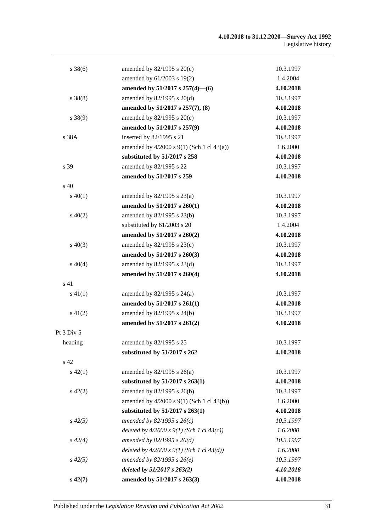| $s \, 38(6)$ | amended by $82/1995$ s $20(c)$                   | 10.3.1997 |
|--------------|--------------------------------------------------|-----------|
|              | amended by 61/2003 s 19(2)                       | 1.4.2004  |
|              | amended by $51/2017$ s $257(4)$ —(6)             | 4.10.2018 |
| $s \, 38(8)$ | amended by 82/1995 s 20(d)                       | 10.3.1997 |
|              | amended by 51/2017 s 257(7), (8)                 | 4.10.2018 |
| $s \ 38(9)$  | amended by 82/1995 s 20(e)                       | 10.3.1997 |
|              | amended by 51/2017 s 257(9)                      | 4.10.2018 |
| s 38A        | inserted by 82/1995 s 21                         | 10.3.1997 |
|              | amended by $4/2000$ s $9(1)$ (Sch 1 cl $43(a)$ ) | 1.6.2000  |
|              | substituted by 51/2017 s 258                     | 4.10.2018 |
| s 39         | amended by 82/1995 s 22                          | 10.3.1997 |
|              | amended by 51/2017 s 259                         | 4.10.2018 |
| s 40         |                                                  |           |
| $s\,40(1)$   | amended by $82/1995$ s $23(a)$                   | 10.3.1997 |
|              | amended by 51/2017 s 260(1)                      | 4.10.2018 |
| $s\ 40(2)$   | amended by 82/1995 s 23(b)                       | 10.3.1997 |
|              | substituted by 61/2003 s 20                      | 1.4.2004  |
|              | amended by 51/2017 s 260(2)                      | 4.10.2018 |
| $s\ 40(3)$   | amended by 82/1995 s 23(c)                       | 10.3.1997 |
|              | amended by 51/2017 s 260(3)                      | 4.10.2018 |
| $s\ 40(4)$   | amended by 82/1995 s 23(d)                       | 10.3.1997 |
|              | amended by 51/2017 s 260(4)                      | 4.10.2018 |
| s 41         |                                                  |           |
| $s\ 41(1)$   | amended by 82/1995 s 24(a)                       | 10.3.1997 |
|              | amended by 51/2017 s 261(1)                      | 4.10.2018 |
| $s\ 41(2)$   | amended by 82/1995 s 24(b)                       | 10.3.1997 |
|              | amended by 51/2017 s 261(2)                      | 4.10.2018 |
| Pt 3 Div 5   |                                                  |           |
| heading      | amended by 82/1995 s 25                          | 10.3.1997 |
|              | substituted by 51/2017 s 262                     | 4.10.2018 |
| s 42         |                                                  |           |
| $s\,42(1)$   | amended by $82/1995$ s $26(a)$                   | 10.3.1997 |
|              | substituted by 51/2017 s 263(1)                  | 4.10.2018 |
| $s\ 42(2)$   | amended by 82/1995 s 26(b)                       | 10.3.1997 |
|              | amended by 4/2000 s 9(1) (Sch 1 cl 43(b))        | 1.6.2000  |
|              | substituted by 51/2017 s 263(1)                  | 4.10.2018 |
| $s\,42(3)$   | amended by 82/1995 s $26(c)$                     | 10.3.1997 |
|              | deleted by $4/2000 s 9(1)$ (Sch 1 cl $43(c)$ )   | 1.6.2000  |
| $s\,42(4)$   | amended by $82/1995 s 26(d)$                     | 10.3.1997 |
|              | deleted by $4/2000 s 9(1)$ (Sch 1 cl $43(d)$ )   | 1.6.2000  |
| $s\,42(5)$   | amended by 82/1995 s $26(e)$                     | 10.3.1997 |
|              | deleted by $51/2017$ s $263(2)$                  | 4.10.2018 |
| $s\,42(7)$   | amended by 51/2017 s 263(3)                      | 4.10.2018 |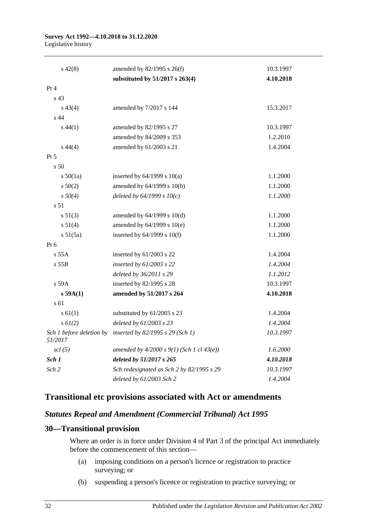#### **Survey Act 1992—4.10.2018 to 31.12.2020** Legislative history

| $s\ 42(8)$         | amended by 82/1995 s 26(f)                                | 10.3.1997 |
|--------------------|-----------------------------------------------------------|-----------|
|                    | substituted by 51/2017 s 263(4)                           | 4.10.2018 |
| Pt 4               |                                                           |           |
| s 43               |                                                           |           |
| $s\,43(4)$         | amended by 7/2017 s 144                                   | 15.3.2017 |
| s 44               |                                                           |           |
| $s\,44(1)$         | amended by 82/1995 s 27                                   | 10.3.1997 |
|                    | amended by 84/2009 s 353                                  | 1.2.2010  |
| $s\,44(4)$         | amended by 61/2003 s 21                                   | 1.4.2004  |
| $Pt\,5$            |                                                           |           |
| s <sub>50</sub>    |                                                           |           |
| s 50(1a)           | inserted by $64/1999$ s $10(a)$                           | 1.1.2000  |
| s 50(2)            | amended by 64/1999 s 10(b)                                | 1.1.2000  |
| s 50(4)            | deleted by $64/1999 s 10(c)$                              | 1.1.2000  |
| s 51               |                                                           |           |
| s 51(3)            | amended by 64/1999 s 10(d)                                | 1.1.2000  |
| s 51(4)            | amended by 64/1999 s 10(e)                                | 1.1.2000  |
| s 51(5a)           | inserted by $64/1999$ s $10(f)$                           | 1.1.2000  |
| Pt 6               |                                                           |           |
| s 55A              | inserted by $61/2003$ s 22                                | 1.4.2004  |
| $s$ 55 $B$         | inserted by $61/2003$ s 22                                | 1.4.2004  |
|                    | deleted by 36/2011 s 29                                   | 1.1.2012  |
| s 59A              | inserted by 82/1995 s 28                                  | 10.3.1997 |
| $s$ 59A(1)         | amended by 51/2017 s 264                                  | 4.10.2018 |
| s 61               |                                                           |           |
| s 61(1)            | substituted by 61/2003 s 23                               | 1.4.2004  |
| $s \, 6I(2)$       | deleted by 61/2003 s 23                                   | 1.4.2004  |
| 51/2017            | Sch 1 before deletion by inserted by 82/1995 s 29 (Sch 1) | 10.3.1997 |
| $\mathfrak{sl}(5)$ | amended by $4/2000 s 9(1)$ (Sch 1 cl $43(e)$ )            | 1.6.2000  |
| Sch 1              | deleted by 51/2017 s 265                                  | 4.10.2018 |
| Sch 2              | Sch redesignated as Sch 2 by 82/1995 s 29                 | 10.3.1997 |
|                    | deleted by 61/2003 Sch 2                                  | 1.4.2004  |

## **Transitional etc provisions associated with Act or amendments**

## *Statutes Repeal and Amendment (Commercial Tribunal) Act 1995*

## **30—Transitional provision**

Where an order is in force under Division 4 of Part 3 of the principal Act immediately before the commencement of this section—

- (a) imposing conditions on a person's licence or registration to practice surveying; or
- (b) suspending a person's licence or registration to practice surveying; or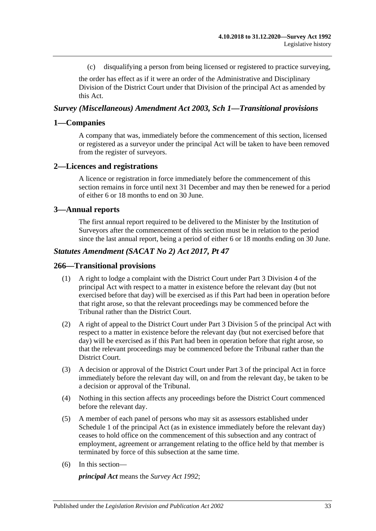(c) disqualifying a person from being licensed or registered to practice surveying,

the order has effect as if it were an order of the Administrative and Disciplinary Division of the District Court under that Division of the principal Act as amended by this Act.

#### *Survey (Miscellaneous) Amendment Act 2003, Sch 1—Transitional provisions*

#### **1—Companies**

A company that was, immediately before the commencement of this section, licensed or registered as a surveyor under the principal Act will be taken to have been removed from the register of surveyors.

#### **2—Licences and registrations**

A licence or registration in force immediately before the commencement of this section remains in force until next 31 December and may then be renewed for a period of either 6 or 18 months to end on 30 June.

#### **3—Annual reports**

The first annual report required to be delivered to the Minister by the Institution of Surveyors after the commencement of this section must be in relation to the period since the last annual report, being a period of either 6 or 18 months ending on 30 June.

#### *Statutes Amendment (SACAT No 2) Act 2017, Pt 47*

#### **266—Transitional provisions**

- (1) A right to lodge a complaint with the District Court under Part 3 Division 4 of the principal Act with respect to a matter in existence before the relevant day (but not exercised before that day) will be exercised as if this Part had been in operation before that right arose, so that the relevant proceedings may be commenced before the Tribunal rather than the District Court.
- (2) A right of appeal to the District Court under Part 3 Division 5 of the principal Act with respect to a matter in existence before the relevant day (but not exercised before that day) will be exercised as if this Part had been in operation before that right arose, so that the relevant proceedings may be commenced before the Tribunal rather than the District Court.
- (3) A decision or approval of the District Court under Part 3 of the principal Act in force immediately before the relevant day will, on and from the relevant day, be taken to be a decision or approval of the Tribunal.
- (4) Nothing in this section affects any proceedings before the District Court commenced before the relevant day.
- (5) A member of each panel of persons who may sit as assessors established under Schedule 1 of the principal Act (as in existence immediately before the relevant day) ceases to hold office on the commencement of this subsection and any contract of employment, agreement or arrangement relating to the office held by that member is terminated by force of this subsection at the same time.
- (6) In this section—

*principal Act* means the *[Survey Act](http://www.legislation.sa.gov.au/index.aspx?action=legref&type=act&legtitle=Survey%20Act%201992) 1992*;